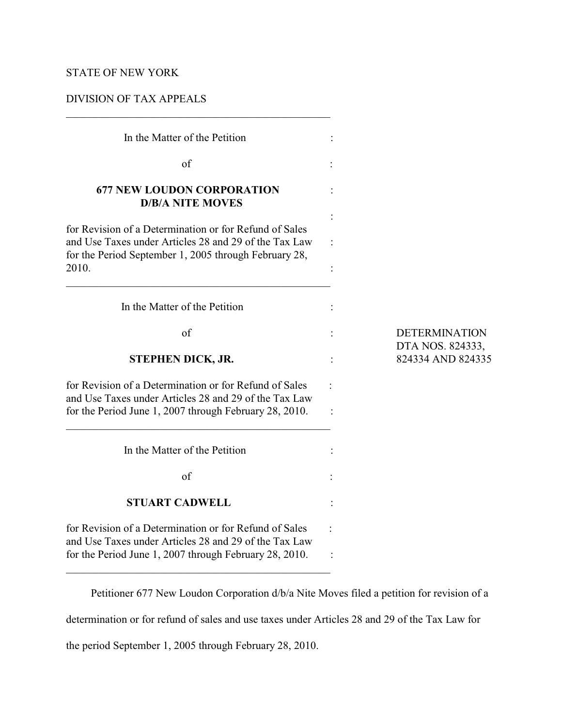# STATE OF NEW YORK

## DIVISION OF TAX APPEALS

| In the Matter of the Petition                                                                                                                                                     |                                       |
|-----------------------------------------------------------------------------------------------------------------------------------------------------------------------------------|---------------------------------------|
| of                                                                                                                                                                                |                                       |
| <b>677 NEW LOUDON CORPORATION</b><br><b>D/B/A NITE MOVES</b>                                                                                                                      |                                       |
| for Revision of a Determination or for Refund of Sales<br>and Use Taxes under Articles 28 and 29 of the Tax Law<br>for the Period September 1, 2005 through February 28,<br>2010. |                                       |
| In the Matter of the Petition                                                                                                                                                     |                                       |
| $\alpha$ f                                                                                                                                                                        | <b>DETERMINATION</b>                  |
| <b>STEPHEN DICK, JR.</b>                                                                                                                                                          | DTA NOS. 824333,<br>824334 AND 824335 |
| for Revision of a Determination or for Refund of Sales<br>and Use Taxes under Articles 28 and 29 of the Tax Law<br>for the Period June 1, 2007 through February 28, 2010.         |                                       |
| In the Matter of the Petition                                                                                                                                                     |                                       |
| of                                                                                                                                                                                |                                       |
| <b>STUART CADWELL</b>                                                                                                                                                             |                                       |
| for Revision of a Determination or for Refund of Sales<br>and Use Taxes under Articles 28 and 29 of the Tax Law<br>for the Period June 1, 2007 through February 28, 2010.         |                                       |

Petitioner 677 New Loudon Corporation d/b/a Nite Moves filed a petition for revision of a

determination or for refund of sales and use taxes under Articles 28 and 29 of the Tax Law for

the period September 1, 2005 through February 28, 2010.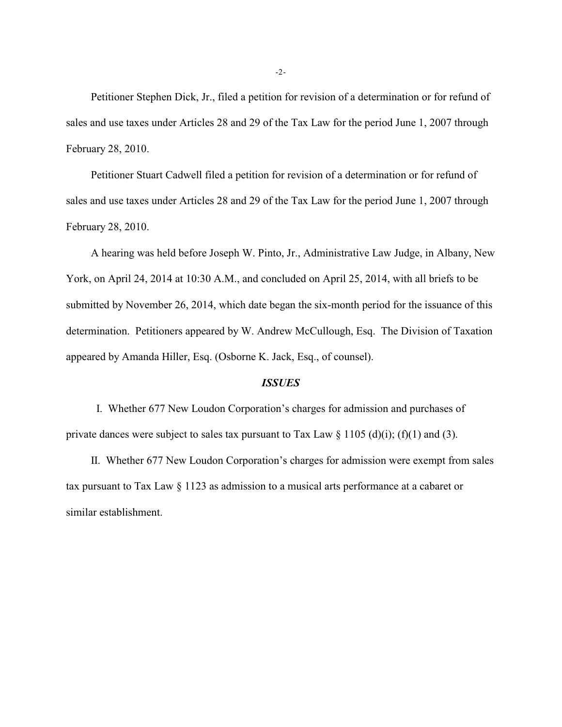Petitioner Stephen Dick, Jr., filed a petition for revision of a determination or for refund of sales and use taxes under Articles 28 and 29 of the Tax Law for the period June 1, 2007 through February 28, 2010.

Petitioner Stuart Cadwell filed a petition for revision of a determination or for refund of sales and use taxes under Articles 28 and 29 of the Tax Law for the period June 1, 2007 through February 28, 2010.

A hearing was held before Joseph W. Pinto, Jr., Administrative Law Judge, in Albany, New York, on April 24, 2014 at 10:30 A.M., and concluded on April 25, 2014, with all briefs to be submitted by November 26, 2014, which date began the six-month period for the issuance of this determination. Petitioners appeared by W. Andrew McCullough, Esq. The Division of Taxation appeared by Amanda Hiller, Esq. (Osborne K. Jack, Esq., of counsel).

#### *ISSUES*

 I. Whether 677 New Loudon Corporation's charges for admission and purchases of private dances were subject to sales tax pursuant to Tax Law  $\S$  1105 (d)(i); (f)(1) and (3).

II. Whether 677 New Loudon Corporation's charges for admission were exempt from sales tax pursuant to Tax Law § 1123 as admission to a musical arts performance at a cabaret or similar establishment.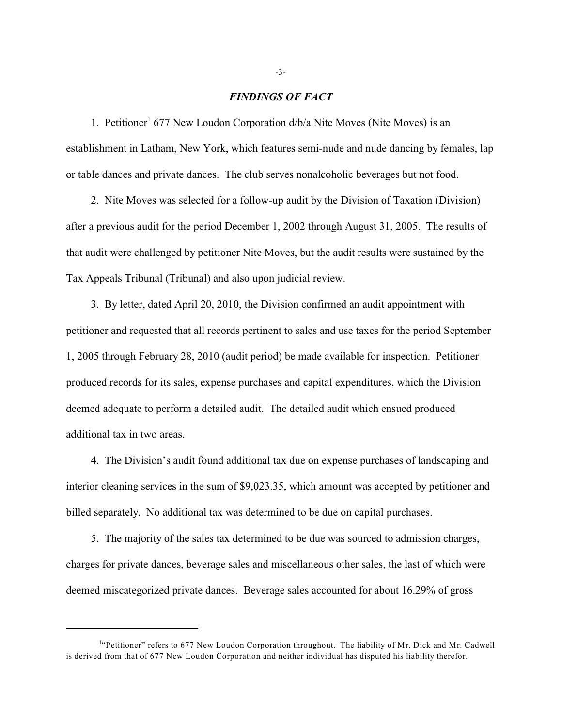#### *FINDINGS OF FACT*

1. Petitioner<sup>1</sup> 677 New Loudon Corporation  $d/b/a$  Nite Moves (Nite Moves) is an establishment in Latham, New York, which features semi-nude and nude dancing by females, lap or table dances and private dances. The club serves nonalcoholic beverages but not food.

2. Nite Moves was selected for a follow-up audit by the Division of Taxation (Division) after a previous audit for the period December 1, 2002 through August 31, 2005. The results of that audit were challenged by petitioner Nite Moves, but the audit results were sustained by the Tax Appeals Tribunal (Tribunal) and also upon judicial review.

3. By letter, dated April 20, 2010, the Division confirmed an audit appointment with petitioner and requested that all records pertinent to sales and use taxes for the period September 1, 2005 through February 28, 2010 (audit period) be made available for inspection. Petitioner produced records for its sales, expense purchases and capital expenditures, which the Division deemed adequate to perform a detailed audit. The detailed audit which ensued produced additional tax in two areas.

4. The Division's audit found additional tax due on expense purchases of landscaping and interior cleaning services in the sum of \$9,023.35, which amount was accepted by petitioner and billed separately. No additional tax was determined to be due on capital purchases.

5. The majority of the sales tax determined to be due was sourced to admission charges, charges for private dances, beverage sales and miscellaneous other sales, the last of which were deemed miscategorized private dances. Beverage sales accounted for about 16.29% of gross

 $<sup>1</sup>$ "Petitioner" refers to 677 New Loudon Corporation throughout. The liability of Mr. Dick and Mr. Cadwell</sup> is derived from that of 677 New Loudon Corporation and neither individual has disputed his liability therefor.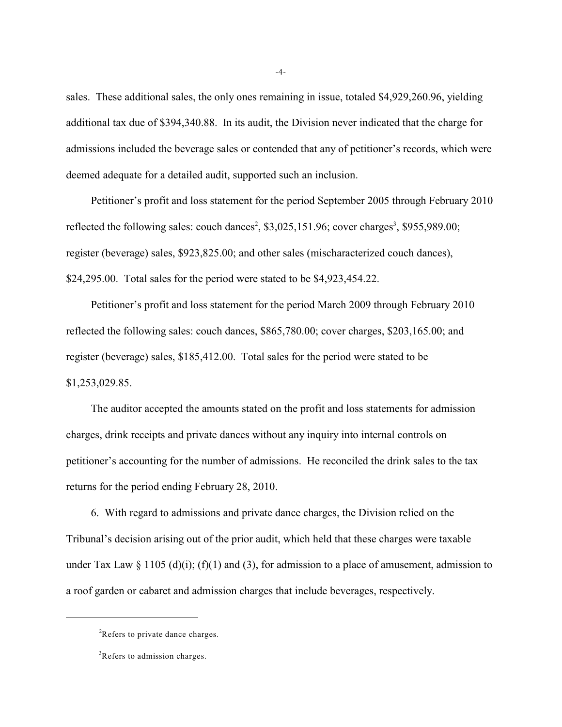sales. These additional sales, the only ones remaining in issue, totaled \$4,929,260.96, yielding additional tax due of \$394,340.88. In its audit, the Division never indicated that the charge for admissions included the beverage sales or contended that any of petitioner's records, which were deemed adequate for a detailed audit, supported such an inclusion.

Petitioner's profit and loss statement for the period September 2005 through February 2010 reflected the following sales: couch dances<sup>2</sup>,  $$3,025,151.96$ ; cover charges<sup>3</sup>,  $$955,989.00$ ; register (beverage) sales, \$923,825.00; and other sales (mischaracterized couch dances), \$24,295.00. Total sales for the period were stated to be \$4,923,454.22.

Petitioner's profit and loss statement for the period March 2009 through February 2010 reflected the following sales: couch dances, \$865,780.00; cover charges, \$203,165.00; and register (beverage) sales, \$185,412.00. Total sales for the period were stated to be \$1,253,029.85.

The auditor accepted the amounts stated on the profit and loss statements for admission charges, drink receipts and private dances without any inquiry into internal controls on petitioner's accounting for the number of admissions. He reconciled the drink sales to the tax returns for the period ending February 28, 2010.

6. With regard to admissions and private dance charges, the Division relied on the Tribunal's decision arising out of the prior audit, which held that these charges were taxable under Tax Law  $\S$  1105 (d)(i); (f)(1) and (3), for admission to a place of amusement, admission to a roof garden or cabaret and admission charges that include beverages, respectively.

<sup>&</sup>lt;sup>2</sup>Refers to private dance charges.

 ${}^{3}$ Refers to admission charges.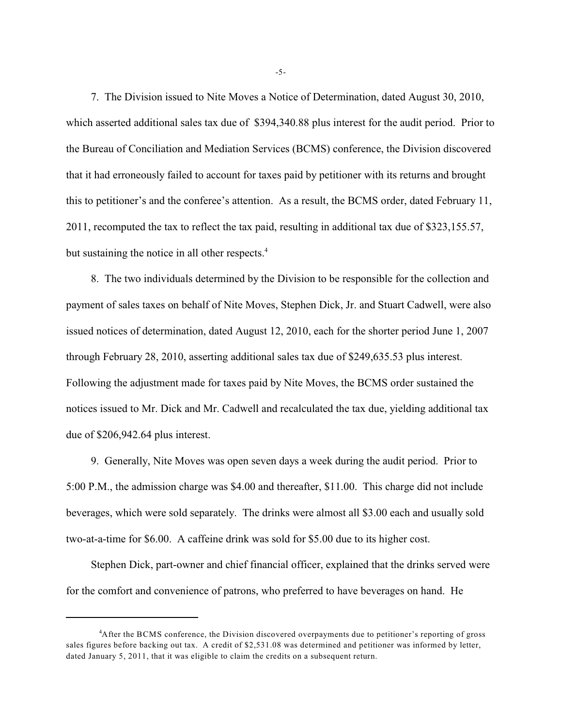7. The Division issued to Nite Moves a Notice of Determination, dated August 30, 2010, which asserted additional sales tax due of \$394,340.88 plus interest for the audit period. Prior to the Bureau of Conciliation and Mediation Services (BCMS) conference, the Division discovered that it had erroneously failed to account for taxes paid by petitioner with its returns and brought this to petitioner's and the conferee's attention. As a result, the BCMS order, dated February 11, 2011, recomputed the tax to reflect the tax paid, resulting in additional tax due of \$323,155.57, but sustaining the notice in all other respects.<sup>4</sup>

8. The two individuals determined by the Division to be responsible for the collection and payment of sales taxes on behalf of Nite Moves, Stephen Dick, Jr. and Stuart Cadwell, were also issued notices of determination, dated August 12, 2010, each for the shorter period June 1, 2007 through February 28, 2010, asserting additional sales tax due of \$249,635.53 plus interest. Following the adjustment made for taxes paid by Nite Moves, the BCMS order sustained the notices issued to Mr. Dick and Mr. Cadwell and recalculated the tax due, yielding additional tax due of \$206,942.64 plus interest.

9. Generally, Nite Moves was open seven days a week during the audit period. Prior to 5:00 P.M., the admission charge was \$4.00 and thereafter, \$11.00. This charge did not include beverages, which were sold separately. The drinks were almost all \$3.00 each and usually sold two-at-a-time for \$6.00. A caffeine drink was sold for \$5.00 due to its higher cost.

Stephen Dick, part-owner and chief financial officer, explained that the drinks served were for the comfort and convenience of patrons, who preferred to have beverages on hand. He

-5-

<sup>&</sup>lt;sup>4</sup>After the BCMS conference, the Division discovered overpayments due to petitioner's reporting of gross sales figures before backing out tax. A credit of \$2,531.08 was determined and petitioner was informed by letter, dated January 5, 2011, that it was eligible to claim the credits on a subsequent return.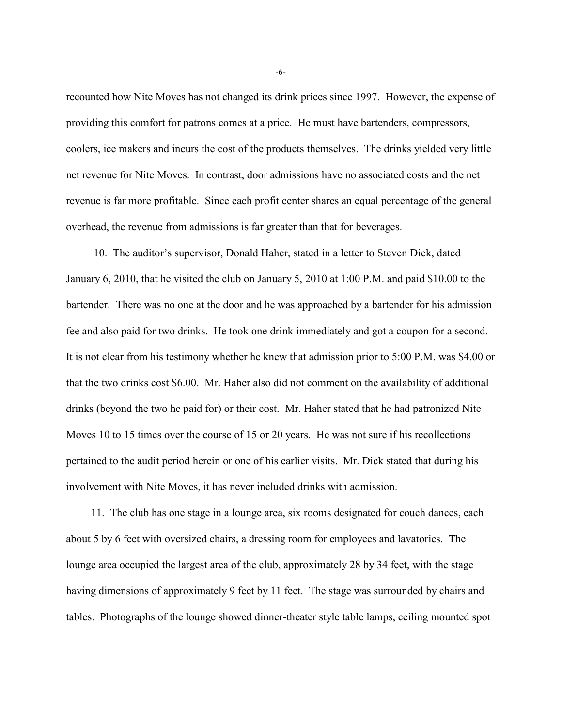recounted how Nite Moves has not changed its drink prices since 1997. However, the expense of providing this comfort for patrons comes at a price. He must have bartenders, compressors, coolers, ice makers and incurs the cost of the products themselves. The drinks yielded very little net revenue for Nite Moves. In contrast, door admissions have no associated costs and the net revenue is far more profitable. Since each profit center shares an equal percentage of the general overhead, the revenue from admissions is far greater than that for beverages.

 10. The auditor's supervisor, Donald Haher, stated in a letter to Steven Dick, dated January 6, 2010, that he visited the club on January 5, 2010 at 1:00 P.M. and paid \$10.00 to the bartender. There was no one at the door and he was approached by a bartender for his admission fee and also paid for two drinks. He took one drink immediately and got a coupon for a second. It is not clear from his testimony whether he knew that admission prior to 5:00 P.M. was \$4.00 or that the two drinks cost \$6.00. Mr. Haher also did not comment on the availability of additional drinks (beyond the two he paid for) or their cost. Mr. Haher stated that he had patronized Nite Moves 10 to 15 times over the course of 15 or 20 years. He was not sure if his recollections pertained to the audit period herein or one of his earlier visits. Mr. Dick stated that during his involvement with Nite Moves, it has never included drinks with admission.

11. The club has one stage in a lounge area, six rooms designated for couch dances, each about 5 by 6 feet with oversized chairs, a dressing room for employees and lavatories. The lounge area occupied the largest area of the club, approximately 28 by 34 feet, with the stage having dimensions of approximately 9 feet by 11 feet. The stage was surrounded by chairs and tables. Photographs of the lounge showed dinner-theater style table lamps, ceiling mounted spot

-6-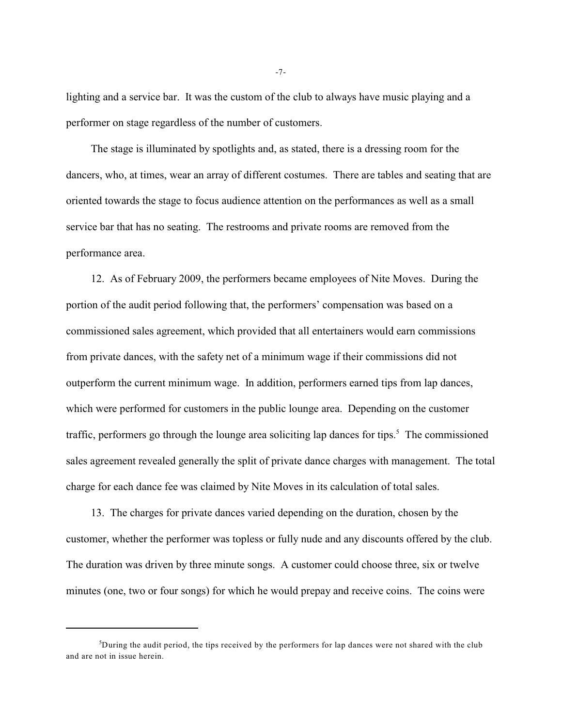lighting and a service bar. It was the custom of the club to always have music playing and a performer on stage regardless of the number of customers.

The stage is illuminated by spotlights and, as stated, there is a dressing room for the dancers, who, at times, wear an array of different costumes. There are tables and seating that are oriented towards the stage to focus audience attention on the performances as well as a small service bar that has no seating. The restrooms and private rooms are removed from the performance area.

12. As of February 2009, the performers became employees of Nite Moves. During the portion of the audit period following that, the performers' compensation was based on a commissioned sales agreement, which provided that all entertainers would earn commissions from private dances, with the safety net of a minimum wage if their commissions did not outperform the current minimum wage. In addition, performers earned tips from lap dances, which were performed for customers in the public lounge area. Depending on the customer traffic, performers go through the lounge area soliciting lap dances for tips.<sup>5</sup> The commissioned sales agreement revealed generally the split of private dance charges with management. The total charge for each dance fee was claimed by Nite Moves in its calculation of total sales.

13. The charges for private dances varied depending on the duration, chosen by the customer, whether the performer was topless or fully nude and any discounts offered by the club. The duration was driven by three minute songs. A customer could choose three, six or twelve minutes (one, two or four songs) for which he would prepay and receive coins. The coins were

-7-

<sup>&</sup>lt;sup>5</sup>During the audit period, the tips received by the performers for lap dances were not shared with the club and are not in issue herein.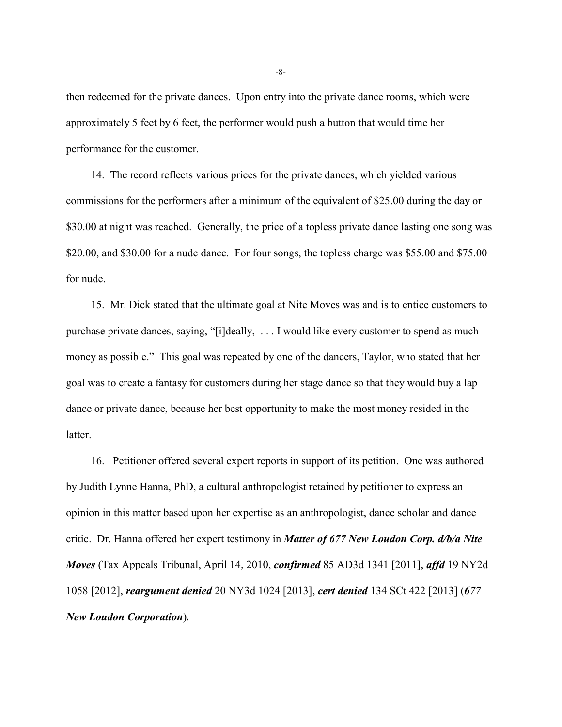then redeemed for the private dances. Upon entry into the private dance rooms, which were approximately 5 feet by 6 feet, the performer would push a button that would time her performance for the customer.

14. The record reflects various prices for the private dances, which yielded various commissions for the performers after a minimum of the equivalent of \$25.00 during the day or \$30.00 at night was reached. Generally, the price of a topless private dance lasting one song was \$20.00, and \$30.00 for a nude dance. For four songs, the topless charge was \$55.00 and \$75.00 for nude.

15. Mr. Dick stated that the ultimate goal at Nite Moves was and is to entice customers to purchase private dances, saying, "[i]deally, . . . I would like every customer to spend as much money as possible." This goal was repeated by one of the dancers, Taylor, who stated that her goal was to create a fantasy for customers during her stage dance so that they would buy a lap dance or private dance, because her best opportunity to make the most money resided in the latter.

16. Petitioner offered several expert reports in support of its petition. One was authored by Judith Lynne Hanna, PhD, a cultural anthropologist retained by petitioner to express an opinion in this matter based upon her expertise as an anthropologist, dance scholar and dance critic. Dr. Hanna offered her expert testimony in *Matter of 677 New Loudon Corp. d/b/a Nite Moves* (Tax Appeals Tribunal, April 14, 2010, *confirmed* 85 AD3d 1341 [2011], *affd* 19 NY2d 1058 [2012], *reargument denied* 20 NY3d 1024 [2013], *cert denied* 134 SCt 422 [2013] (*677 New Loudon Corporation*)*.*

-8-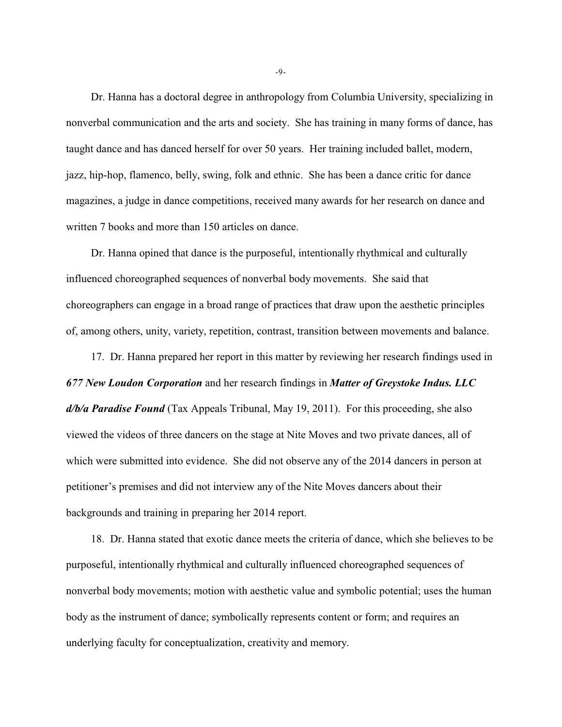Dr. Hanna has a doctoral degree in anthropology from Columbia University, specializing in nonverbal communication and the arts and society. She has training in many forms of dance, has taught dance and has danced herself for over 50 years. Her training included ballet, modern, jazz, hip-hop, flamenco, belly, swing, folk and ethnic. She has been a dance critic for dance magazines, a judge in dance competitions, received many awards for her research on dance and written 7 books and more than 150 articles on dance.

Dr. Hanna opined that dance is the purposeful, intentionally rhythmical and culturally influenced choreographed sequences of nonverbal body movements. She said that choreographers can engage in a broad range of practices that draw upon the aesthetic principles of, among others, unity, variety, repetition, contrast, transition between movements and balance.

17. Dr. Hanna prepared her report in this matter by reviewing her research findings used in *677 New Loudon Corporation* and her research findings in *Matter of Greystoke Indus. LLC d/b/a Paradise Found* (Tax Appeals Tribunal, May 19, 2011). For this proceeding, she also viewed the videos of three dancers on the stage at Nite Moves and two private dances, all of which were submitted into evidence. She did not observe any of the 2014 dancers in person at petitioner's premises and did not interview any of the Nite Moves dancers about their backgrounds and training in preparing her 2014 report.

18. Dr. Hanna stated that exotic dance meets the criteria of dance, which she believes to be purposeful, intentionally rhythmical and culturally influenced choreographed sequences of nonverbal body movements; motion with aesthetic value and symbolic potential; uses the human body as the instrument of dance; symbolically represents content or form; and requires an underlying faculty for conceptualization, creativity and memory.

-9-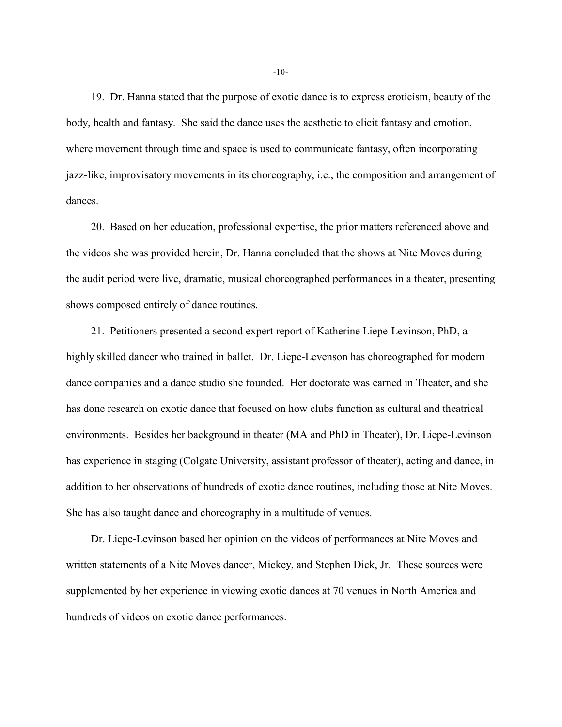19. Dr. Hanna stated that the purpose of exotic dance is to express eroticism, beauty of the body, health and fantasy. She said the dance uses the aesthetic to elicit fantasy and emotion, where movement through time and space is used to communicate fantasy, often incorporating jazz-like, improvisatory movements in its choreography, i.e., the composition and arrangement of dances.

20. Based on her education, professional expertise, the prior matters referenced above and the videos she was provided herein, Dr. Hanna concluded that the shows at Nite Moves during the audit period were live, dramatic, musical choreographed performances in a theater, presenting shows composed entirely of dance routines.

21. Petitioners presented a second expert report of Katherine Liepe-Levinson, PhD, a highly skilled dancer who trained in ballet. Dr. Liepe-Levenson has choreographed for modern dance companies and a dance studio she founded. Her doctorate was earned in Theater, and she has done research on exotic dance that focused on how clubs function as cultural and theatrical environments. Besides her background in theater (MA and PhD in Theater), Dr. Liepe-Levinson has experience in staging (Colgate University, assistant professor of theater), acting and dance, in addition to her observations of hundreds of exotic dance routines, including those at Nite Moves. She has also taught dance and choreography in a multitude of venues.

Dr. Liepe-Levinson based her opinion on the videos of performances at Nite Moves and written statements of a Nite Moves dancer, Mickey, and Stephen Dick, Jr. These sources were supplemented by her experience in viewing exotic dances at 70 venues in North America and hundreds of videos on exotic dance performances.

-10-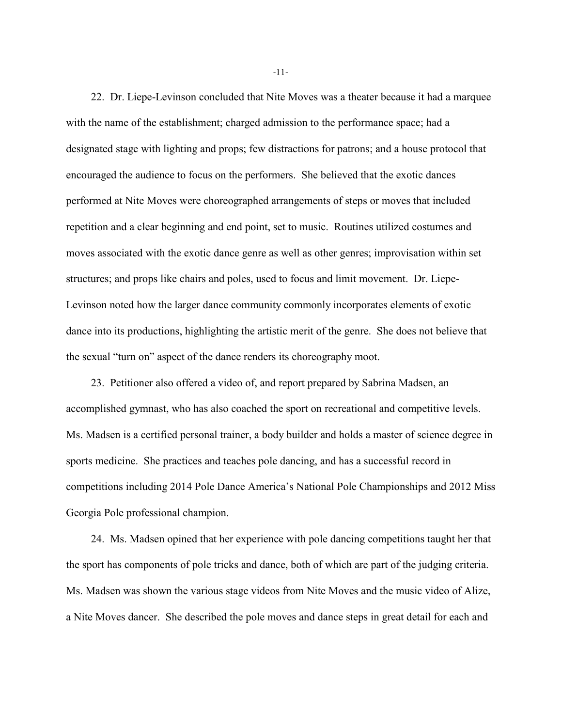22. Dr. Liepe-Levinson concluded that Nite Moves was a theater because it had a marquee with the name of the establishment; charged admission to the performance space; had a designated stage with lighting and props; few distractions for patrons; and a house protocol that encouraged the audience to focus on the performers. She believed that the exotic dances performed at Nite Moves were choreographed arrangements of steps or moves that included repetition and a clear beginning and end point, set to music. Routines utilized costumes and moves associated with the exotic dance genre as well as other genres; improvisation within set structures; and props like chairs and poles, used to focus and limit movement. Dr. Liepe-Levinson noted how the larger dance community commonly incorporates elements of exotic dance into its productions, highlighting the artistic merit of the genre. She does not believe that the sexual "turn on" aspect of the dance renders its choreography moot.

23. Petitioner also offered a video of, and report prepared by Sabrina Madsen, an accomplished gymnast, who has also coached the sport on recreational and competitive levels. Ms. Madsen is a certified personal trainer, a body builder and holds a master of science degree in sports medicine. She practices and teaches pole dancing, and has a successful record in competitions including 2014 Pole Dance America's National Pole Championships and 2012 Miss Georgia Pole professional champion.

24. Ms. Madsen opined that her experience with pole dancing competitions taught her that the sport has components of pole tricks and dance, both of which are part of the judging criteria. Ms. Madsen was shown the various stage videos from Nite Moves and the music video of Alize, a Nite Moves dancer. She described the pole moves and dance steps in great detail for each and

-11-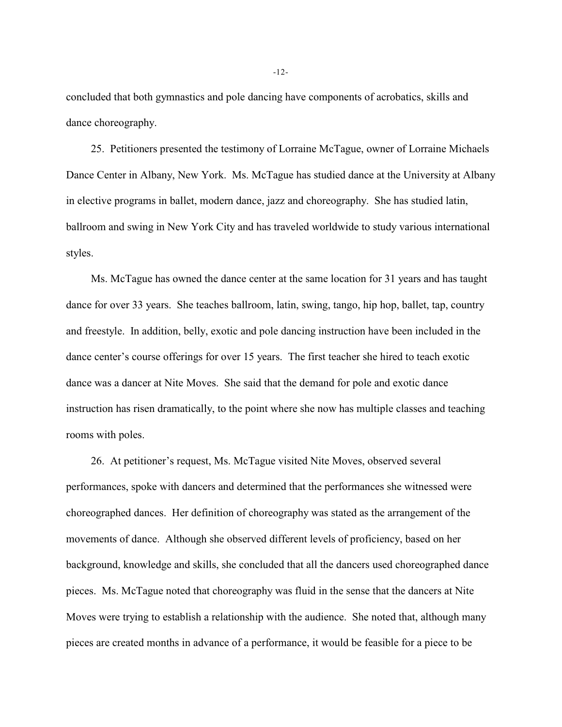concluded that both gymnastics and pole dancing have components of acrobatics, skills and dance choreography.

25. Petitioners presented the testimony of Lorraine McTague, owner of Lorraine Michaels Dance Center in Albany, New York. Ms. McTague has studied dance at the University at Albany in elective programs in ballet, modern dance, jazz and choreography. She has studied latin, ballroom and swing in New York City and has traveled worldwide to study various international styles.

Ms. McTague has owned the dance center at the same location for 31 years and has taught dance for over 33 years. She teaches ballroom, latin, swing, tango, hip hop, ballet, tap, country and freestyle. In addition, belly, exotic and pole dancing instruction have been included in the dance center's course offerings for over 15 years. The first teacher she hired to teach exotic dance was a dancer at Nite Moves. She said that the demand for pole and exotic dance instruction has risen dramatically, to the point where she now has multiple classes and teaching rooms with poles.

26. At petitioner's request, Ms. McTague visited Nite Moves, observed several performances, spoke with dancers and determined that the performances she witnessed were choreographed dances. Her definition of choreography was stated as the arrangement of the movements of dance. Although she observed different levels of proficiency, based on her background, knowledge and skills, she concluded that all the dancers used choreographed dance pieces. Ms. McTague noted that choreography was fluid in the sense that the dancers at Nite Moves were trying to establish a relationship with the audience. She noted that, although many pieces are created months in advance of a performance, it would be feasible for a piece to be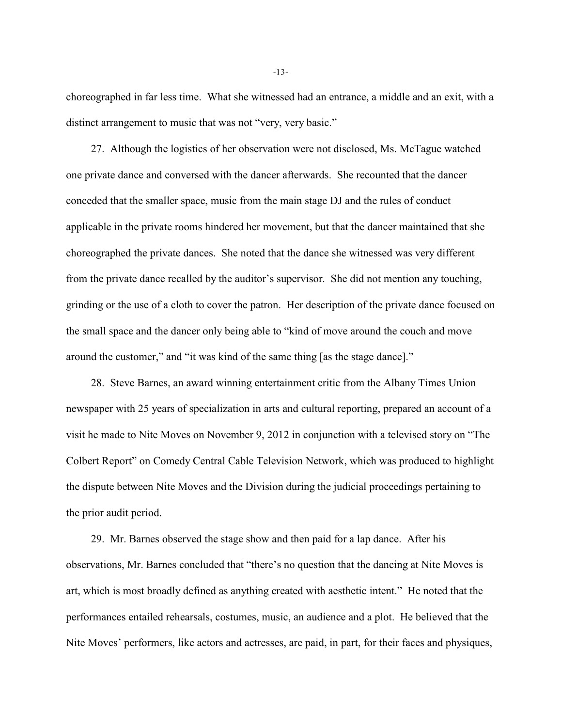choreographed in far less time. What she witnessed had an entrance, a middle and an exit, with a distinct arrangement to music that was not "very, very basic."

27. Although the logistics of her observation were not disclosed, Ms. McTague watched one private dance and conversed with the dancer afterwards. She recounted that the dancer conceded that the smaller space, music from the main stage DJ and the rules of conduct applicable in the private rooms hindered her movement, but that the dancer maintained that she choreographed the private dances. She noted that the dance she witnessed was very different from the private dance recalled by the auditor's supervisor. She did not mention any touching, grinding or the use of a cloth to cover the patron. Her description of the private dance focused on the small space and the dancer only being able to "kind of move around the couch and move around the customer," and "it was kind of the same thing [as the stage dance]."

28. Steve Barnes, an award winning entertainment critic from the Albany Times Union newspaper with 25 years of specialization in arts and cultural reporting, prepared an account of a visit he made to Nite Moves on November 9, 2012 in conjunction with a televised story on "The Colbert Report" on Comedy Central Cable Television Network, which was produced to highlight the dispute between Nite Moves and the Division during the judicial proceedings pertaining to the prior audit period.

29. Mr. Barnes observed the stage show and then paid for a lap dance. After his observations, Mr. Barnes concluded that "there's no question that the dancing at Nite Moves is art, which is most broadly defined as anything created with aesthetic intent." He noted that the performances entailed rehearsals, costumes, music, an audience and a plot. He believed that the Nite Moves' performers, like actors and actresses, are paid, in part, for their faces and physiques,

-13-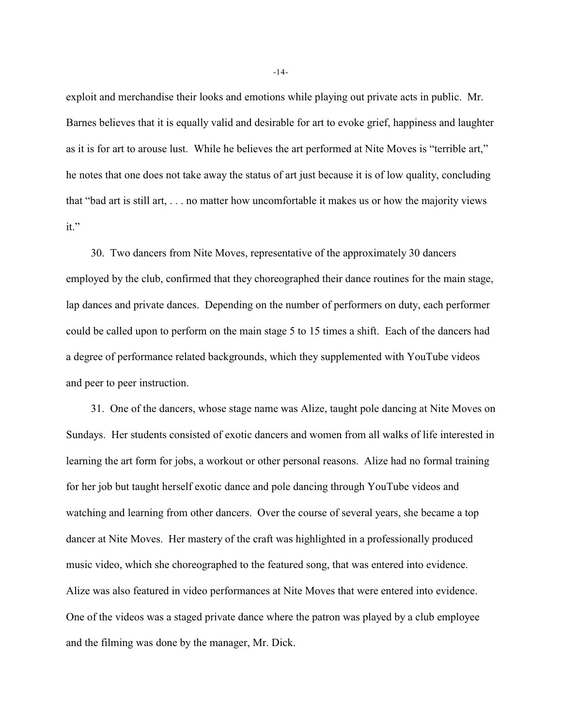exploit and merchandise their looks and emotions while playing out private acts in public. Mr. Barnes believes that it is equally valid and desirable for art to evoke grief, happiness and laughter as it is for art to arouse lust. While he believes the art performed at Nite Moves is "terrible art," he notes that one does not take away the status of art just because it is of low quality, concluding that "bad art is still art, . . . no matter how uncomfortable it makes us or how the majority views it."

30. Two dancers from Nite Moves, representative of the approximately 30 dancers employed by the club, confirmed that they choreographed their dance routines for the main stage, lap dances and private dances. Depending on the number of performers on duty, each performer could be called upon to perform on the main stage 5 to 15 times a shift. Each of the dancers had a degree of performance related backgrounds, which they supplemented with YouTube videos and peer to peer instruction.

31. One of the dancers, whose stage name was Alize, taught pole dancing at Nite Moves on Sundays. Her students consisted of exotic dancers and women from all walks of life interested in learning the art form for jobs, a workout or other personal reasons. Alize had no formal training for her job but taught herself exotic dance and pole dancing through YouTube videos and watching and learning from other dancers. Over the course of several years, she became a top dancer at Nite Moves. Her mastery of the craft was highlighted in a professionally produced music video, which she choreographed to the featured song, that was entered into evidence. Alize was also featured in video performances at Nite Moves that were entered into evidence. One of the videos was a staged private dance where the patron was played by a club employee and the filming was done by the manager, Mr. Dick.

-14-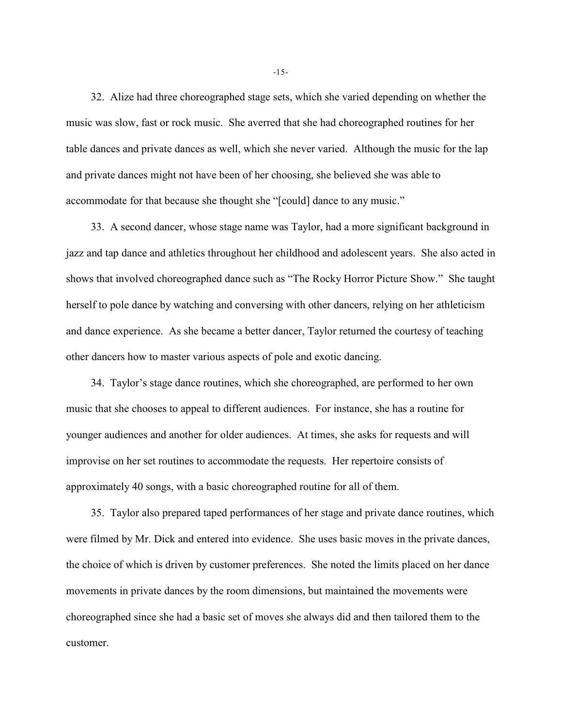32. Alize had three choreographed stage sets, which she varied depending on whether the music was slow, fast or rock music. She averred that she had choreographed routines for her table dances and private dances as well, which she never varied. Although the music for the lap and private dances might not have been of her choosing, she believed she was able to accommodate for that because she thought she "[could] dance to any music."

33. A second dancer, whose stage name was Taylor, had a more significant background in jazz and tap dance and athletics throughout her childhood and adolescent years. She also acted in shows that involved choreographed dance such as "The Rocky Horror Picture Show." She taught herself to pole dance by watching and conversing with other dancers, relying on her athleticism and dance experience. As she became a better dancer, Taylor returned the courtesy of teaching other dancers how to master various aspects of pole and exotic dancing.

34. Taylor's stage dance routines, which she choreographed, are performed to her own music that she chooses to appeal to different audiences. For instance, she has a routine for younger audiences and another for older audiences. At times, she asks for requests and will improvise on her set routines to accommodate the requests. Her repertoire consists of approximately 40 songs, with a basic choreographed routine for all of them.

35. Taylor also prepared taped performances of her stage and private dance routines, which were filmed by Mr. Dick and entered into evidence. She uses basic moves in the private dances, the choice of which is driven by customer preferences. She noted the limits placed on her dance movements in private dances by the room dimensions, but maintained the movements were choreographed since she had a basic set of moves she always did and then tailored them to the customer.

-15-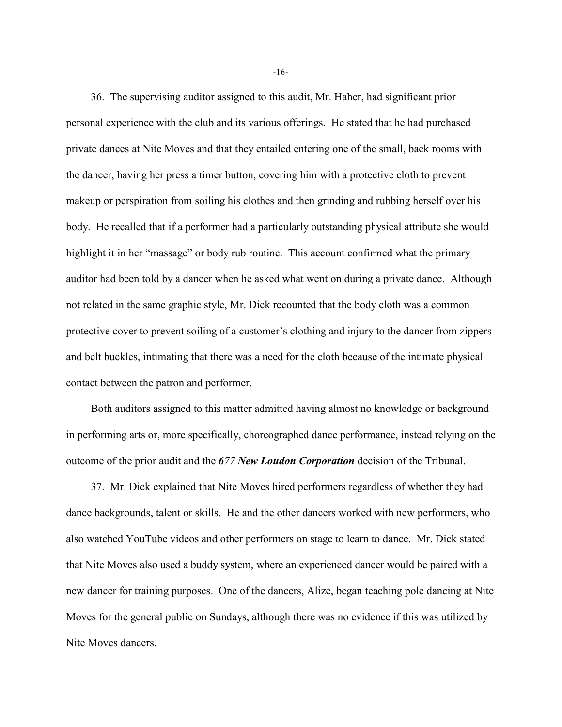36. The supervising auditor assigned to this audit, Mr. Haher, had significant prior personal experience with the club and its various offerings. He stated that he had purchased private dances at Nite Moves and that they entailed entering one of the small, back rooms with the dancer, having her press a timer button, covering him with a protective cloth to prevent makeup or perspiration from soiling his clothes and then grinding and rubbing herself over his body. He recalled that if a performer had a particularly outstanding physical attribute she would highlight it in her "massage" or body rub routine. This account confirmed what the primary auditor had been told by a dancer when he asked what went on during a private dance. Although not related in the same graphic style, Mr. Dick recounted that the body cloth was a common protective cover to prevent soiling of a customer's clothing and injury to the dancer from zippers and belt buckles, intimating that there was a need for the cloth because of the intimate physical contact between the patron and performer.

Both auditors assigned to this matter admitted having almost no knowledge or background in performing arts or, more specifically, choreographed dance performance, instead relying on the outcome of the prior audit and the *677 New Loudon Corporation* decision of the Tribunal.

37. Mr. Dick explained that Nite Moves hired performers regardless of whether they had dance backgrounds, talent or skills. He and the other dancers worked with new performers, who also watched YouTube videos and other performers on stage to learn to dance. Mr. Dick stated that Nite Moves also used a buddy system, where an experienced dancer would be paired with a new dancer for training purposes. One of the dancers, Alize, began teaching pole dancing at Nite Moves for the general public on Sundays, although there was no evidence if this was utilized by Nite Moves dancers.

-16-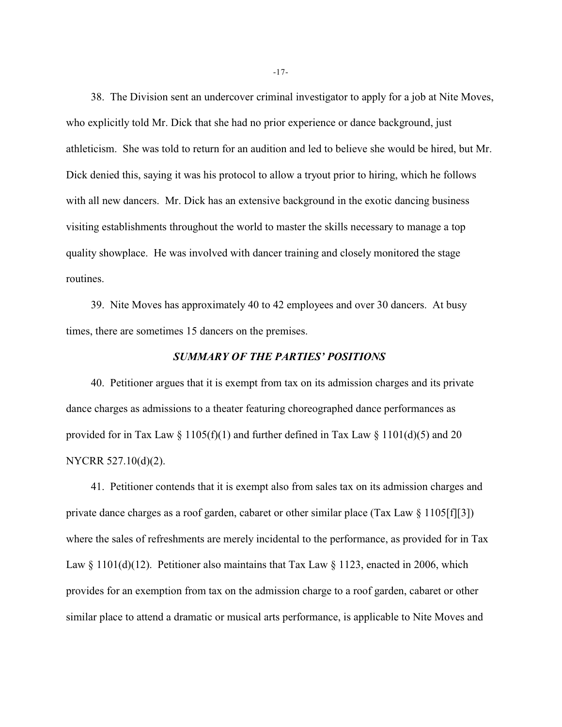38. The Division sent an undercover criminal investigator to apply for a job at Nite Moves, who explicitly told Mr. Dick that she had no prior experience or dance background, just athleticism. She was told to return for an audition and led to believe she would be hired, but Mr. Dick denied this, saying it was his protocol to allow a tryout prior to hiring, which he follows with all new dancers. Mr. Dick has an extensive background in the exotic dancing business visiting establishments throughout the world to master the skills necessary to manage a top quality showplace. He was involved with dancer training and closely monitored the stage routines.

39. Nite Moves has approximately 40 to 42 employees and over 30 dancers. At busy times, there are sometimes 15 dancers on the premises.

#### *SUMMARY OF THE PARTIES' POSITIONS*

40. Petitioner argues that it is exempt from tax on its admission charges and its private dance charges as admissions to a theater featuring choreographed dance performances as provided for in Tax Law  $\S 1105(f)(1)$  and further defined in Tax Law  $\S 1101(d)(5)$  and 20 NYCRR 527.10(d)(2).

41. Petitioner contends that it is exempt also from sales tax on its admission charges and private dance charges as a roof garden, cabaret or other similar place (Tax Law § 1105[f][3]) where the sales of refreshments are merely incidental to the performance, as provided for in Tax Law  $\S 1101(d)(12)$ . Petitioner also maintains that Tax Law  $\S 1123$ , enacted in 2006, which provides for an exemption from tax on the admission charge to a roof garden, cabaret or other similar place to attend a dramatic or musical arts performance, is applicable to Nite Moves and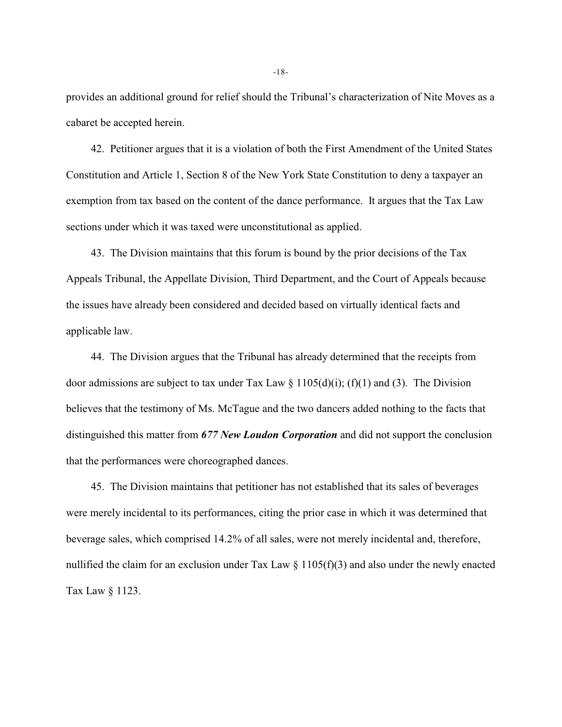provides an additional ground for relief should the Tribunal's characterization of Nite Moves as a cabaret be accepted herein.

42. Petitioner argues that it is a violation of both the First Amendment of the United States Constitution and Article 1, Section 8 of the New York State Constitution to deny a taxpayer an exemption from tax based on the content of the dance performance. It argues that the Tax Law sections under which it was taxed were unconstitutional as applied.

43. The Division maintains that this forum is bound by the prior decisions of the Tax Appeals Tribunal, the Appellate Division, Third Department, and the Court of Appeals because the issues have already been considered and decided based on virtually identical facts and applicable law.

44. The Division argues that the Tribunal has already determined that the receipts from door admissions are subject to tax under Tax Law  $\S 1105(d)(i)$ ; (f)(1) and (3). The Division believes that the testimony of Ms. McTague and the two dancers added nothing to the facts that distinguished this matter from *677 New Loudon Corporation* and did not support the conclusion that the performances were choreographed dances.

45. The Division maintains that petitioner has not established that its sales of beverages were merely incidental to its performances, citing the prior case in which it was determined that beverage sales, which comprised 14.2% of all sales, were not merely incidental and, therefore, nullified the claim for an exclusion under Tax Law  $\S 1105(f)(3)$  and also under the newly enacted Tax Law § 1123.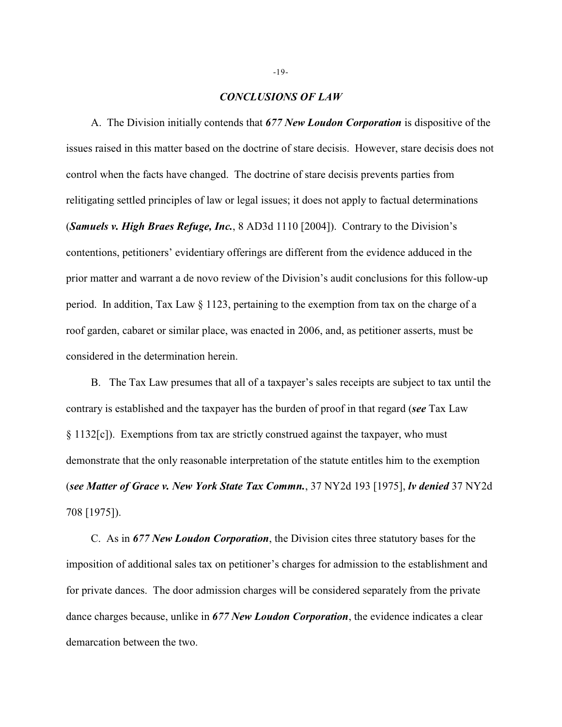### *CONCLUSIONS OF LAW*

A. The Division initially contends that *677 New Loudon Corporation* is dispositive of the issues raised in this matter based on the doctrine of stare decisis. However, stare decisis does not control when the facts have changed. The doctrine of stare decisis prevents parties from relitigating settled principles of law or legal issues; it does not apply to factual determinations (*Samuels v. High Braes Refuge, Inc.*, 8 AD3d 1110 [2004]). Contrary to the Division's contentions, petitioners' evidentiary offerings are different from the evidence adduced in the prior matter and warrant a de novo review of the Division's audit conclusions for this follow-up period. In addition, Tax Law § 1123, pertaining to the exemption from tax on the charge of a roof garden, cabaret or similar place, was enacted in 2006, and, as petitioner asserts, must be considered in the determination herein.

B. The Tax Law presumes that all of a taxpayer's sales receipts are subject to tax until the contrary is established and the taxpayer has the burden of proof in that regard (*see* Tax Law § 1132[c]). Exemptions from tax are strictly construed against the taxpayer, who must demonstrate that the only reasonable interpretation of the statute entitles him to the exemption (*see Matter of Grace v. New York State Tax Commn.*, 37 NY2d 193 [1975], *lv denied* 37 NY2d 708 [1975]).

C. As in *677 New Loudon Corporation*, the Division cites three statutory bases for the imposition of additional sales tax on petitioner's charges for admission to the establishment and for private dances. The door admission charges will be considered separately from the private dance charges because, unlike in *677 New Loudon Corporation*, the evidence indicates a clear demarcation between the two.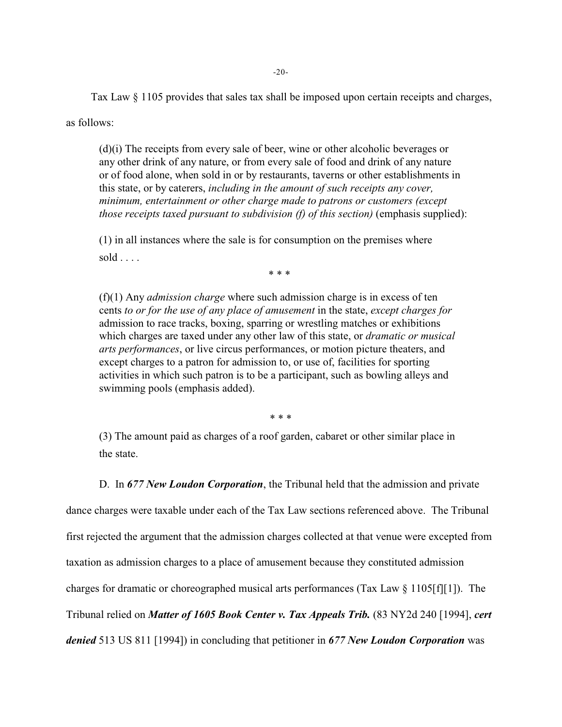Tax Law § 1105 provides that sales tax shall be imposed upon certain receipts and charges,

as follows:

(d)(i) The receipts from every sale of beer, wine or other alcoholic beverages or any other drink of any nature, or from every sale of food and drink of any nature or of food alone, when sold in or by restaurants, taverns or other establishments in this state, or by caterers, *including in the amount of such receipts any cover, minimum, entertainment or other charge made to patrons or customers (except those receipts taxed pursuant to subdivision (f) of this section)* (emphasis supplied):

(1) in all instances where the sale is for consumption on the premises where  $sold \ldots$ .

\* \* \*

(f)(1) Any *admission charge* where such admission charge is in excess of ten cents *to or for the use of any place of amusement* in the state, *except charges for* admission to race tracks, boxing, sparring or wrestling matches or exhibitions which charges are taxed under any other law of this state, or *dramatic or musical arts performances*, or live circus performances, or motion picture theaters, and except charges to a patron for admission to, or use of, facilities for sporting activities in which such patron is to be a participant, such as bowling alleys and swimming pools (emphasis added).

\* \* \*

(3) The amount paid as charges of a roof garden, cabaret or other similar place in the state.

D. In *677 New Loudon Corporation*, the Tribunal held that the admission and private dance charges were taxable under each of the Tax Law sections referenced above. The Tribunal first rejected the argument that the admission charges collected at that venue were excepted from taxation as admission charges to a place of amusement because they constituted admission charges for dramatic or choreographed musical arts performances (Tax Law § 1105[f][1]). The Tribunal relied on *Matter of 1605 Book Center v. Tax Appeals Trib.* (83 NY2d 240 [1994], *cert denied* 513 US 811 [1994]) in concluding that petitioner in *677 New Loudon Corporation* was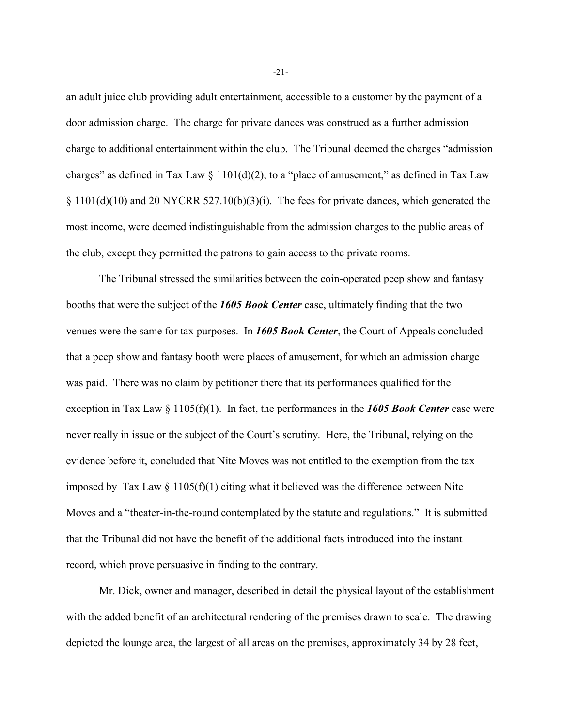an adult juice club providing adult entertainment, accessible to a customer by the payment of a door admission charge. The charge for private dances was construed as a further admission charge to additional entertainment within the club. The Tribunal deemed the charges "admission charges" as defined in Tax Law  $\S 1101(d)(2)$ , to a "place of amusement," as defined in Tax Law  $\S 1101(d)(10)$  and 20 NYCRR 527.10(b)(3)(i). The fees for private dances, which generated the most income, were deemed indistinguishable from the admission charges to the public areas of the club, except they permitted the patrons to gain access to the private rooms.

The Tribunal stressed the similarities between the coin-operated peep show and fantasy booths that were the subject of the *1605 Book Center* case, ultimately finding that the two venues were the same for tax purposes. In *1605 Book Center*, the Court of Appeals concluded that a peep show and fantasy booth were places of amusement, for which an admission charge was paid. There was no claim by petitioner there that its performances qualified for the exception in Tax Law § 1105(f)(1). In fact, the performances in the *1605 Book Center* case were never really in issue or the subject of the Court's scrutiny. Here, the Tribunal, relying on the evidence before it, concluded that Nite Moves was not entitled to the exemption from the tax imposed by Tax Law  $\S 1105(f)(1)$  citing what it believed was the difference between Nite Moves and a "theater-in-the-round contemplated by the statute and regulations." It is submitted that the Tribunal did not have the benefit of the additional facts introduced into the instant record, which prove persuasive in finding to the contrary.

Mr. Dick, owner and manager, described in detail the physical layout of the establishment with the added benefit of an architectural rendering of the premises drawn to scale. The drawing depicted the lounge area, the largest of all areas on the premises, approximately 34 by 28 feet,

-21-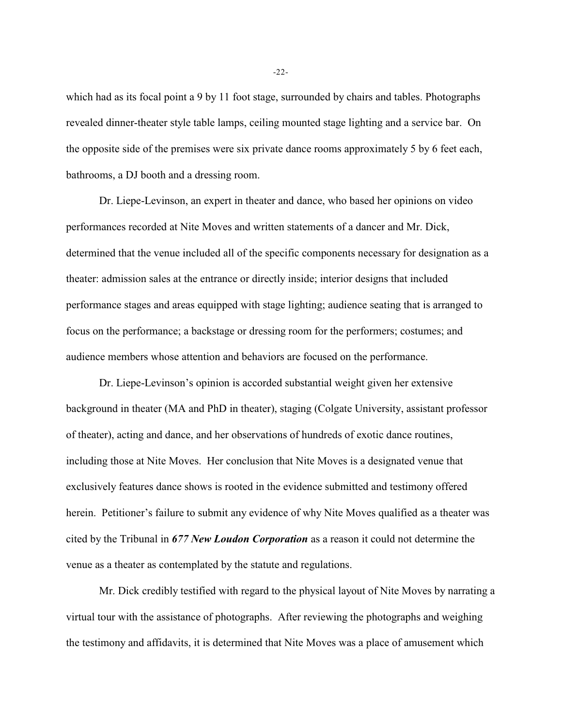which had as its focal point a 9 by 11 foot stage, surrounded by chairs and tables. Photographs revealed dinner-theater style table lamps, ceiling mounted stage lighting and a service bar. On the opposite side of the premises were six private dance rooms approximately 5 by 6 feet each, bathrooms, a DJ booth and a dressing room.

Dr. Liepe-Levinson, an expert in theater and dance, who based her opinions on video performances recorded at Nite Moves and written statements of a dancer and Mr. Dick, determined that the venue included all of the specific components necessary for designation as a theater: admission sales at the entrance or directly inside; interior designs that included performance stages and areas equipped with stage lighting; audience seating that is arranged to focus on the performance; a backstage or dressing room for the performers; costumes; and audience members whose attention and behaviors are focused on the performance.

Dr. Liepe-Levinson's opinion is accorded substantial weight given her extensive background in theater (MA and PhD in theater), staging (Colgate University, assistant professor of theater), acting and dance, and her observations of hundreds of exotic dance routines, including those at Nite Moves. Her conclusion that Nite Moves is a designated venue that exclusively features dance shows is rooted in the evidence submitted and testimony offered herein. Petitioner's failure to submit any evidence of why Nite Moves qualified as a theater was cited by the Tribunal in *677 New Loudon Corporation* as a reason it could not determine the venue as a theater as contemplated by the statute and regulations.

Mr. Dick credibly testified with regard to the physical layout of Nite Moves by narrating a virtual tour with the assistance of photographs. After reviewing the photographs and weighing the testimony and affidavits, it is determined that Nite Moves was a place of amusement which

-22-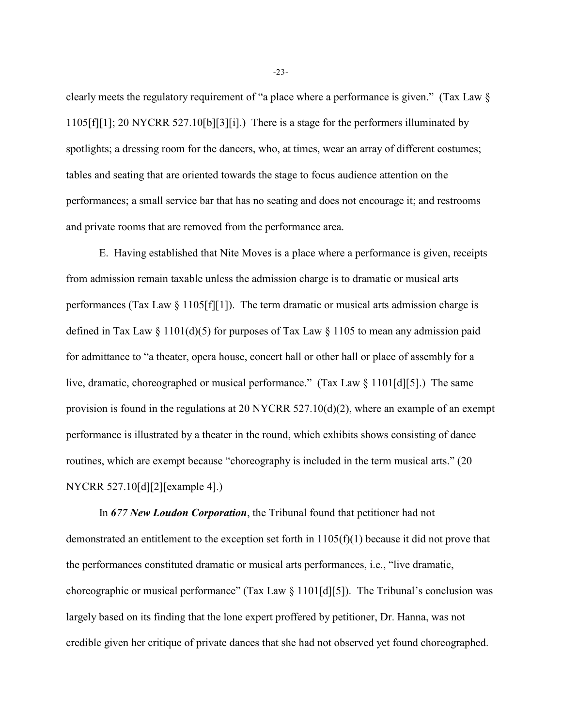clearly meets the regulatory requirement of "a place where a performance is given." (Tax Law § 1105[f][1]; 20 NYCRR 527.10[b][3][i].) There is a stage for the performers illuminated by spotlights; a dressing room for the dancers, who, at times, wear an array of different costumes; tables and seating that are oriented towards the stage to focus audience attention on the performances; a small service bar that has no seating and does not encourage it; and restrooms and private rooms that are removed from the performance area.

E. Having established that Nite Moves is a place where a performance is given, receipts from admission remain taxable unless the admission charge is to dramatic or musical arts performances (Tax Law § 1105[f][1]). The term dramatic or musical arts admission charge is defined in Tax Law  $\S 1101(d)(5)$  for purposes of Tax Law  $\S 1105$  to mean any admission paid for admittance to "a theater, opera house, concert hall or other hall or place of assembly for a live, dramatic, choreographed or musical performance." (Tax Law § 1101[d][5].) The same provision is found in the regulations at 20 NYCRR 527.10(d)(2), where an example of an exempt performance is illustrated by a theater in the round, which exhibits shows consisting of dance routines, which are exempt because "choreography is included in the term musical arts." (20 NYCRR 527.10[d][2][example 4].)

In *677 New Loudon Corporation*, the Tribunal found that petitioner had not demonstrated an entitlement to the exception set forth in 1105(f)(1) because it did not prove that the performances constituted dramatic or musical arts performances, i.e., "live dramatic, choreographic or musical performance" (Tax Law § 1101[d][5]). The Tribunal's conclusion was largely based on its finding that the lone expert proffered by petitioner, Dr. Hanna, was not credible given her critique of private dances that she had not observed yet found choreographed.

-23-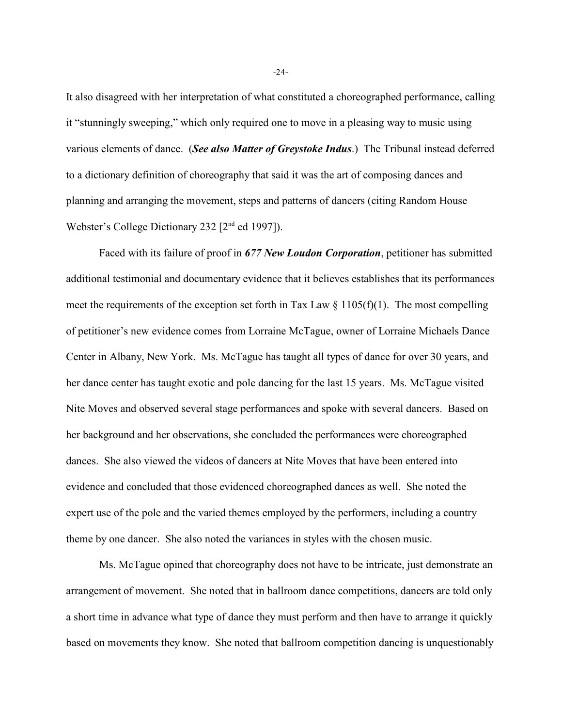It also disagreed with her interpretation of what constituted a choreographed performance, calling it "stunningly sweeping," which only required one to move in a pleasing way to music using various elements of dance. (*See also Matter of Greystoke Indus*.) The Tribunal instead deferred to a dictionary definition of choreography that said it was the art of composing dances and planning and arranging the movement, steps and patterns of dancers (citing Random House Webster's College Dictionary 232  $[2<sup>nd</sup>$  ed 1997]).

Faced with its failure of proof in *677 New Loudon Corporation*, petitioner has submitted additional testimonial and documentary evidence that it believes establishes that its performances meet the requirements of the exception set forth in Tax Law  $\S$  1105(f)(1). The most compelling of petitioner's new evidence comes from Lorraine McTague, owner of Lorraine Michaels Dance Center in Albany, New York. Ms. McTague has taught all types of dance for over 30 years, and her dance center has taught exotic and pole dancing for the last 15 years. Ms. McTague visited Nite Moves and observed several stage performances and spoke with several dancers. Based on her background and her observations, she concluded the performances were choreographed dances. She also viewed the videos of dancers at Nite Moves that have been entered into evidence and concluded that those evidenced choreographed dances as well. She noted the expert use of the pole and the varied themes employed by the performers, including a country theme by one dancer. She also noted the variances in styles with the chosen music.

Ms. McTague opined that choreography does not have to be intricate, just demonstrate an arrangement of movement. She noted that in ballroom dance competitions, dancers are told only a short time in advance what type of dance they must perform and then have to arrange it quickly based on movements they know. She noted that ballroom competition dancing is unquestionably

-24-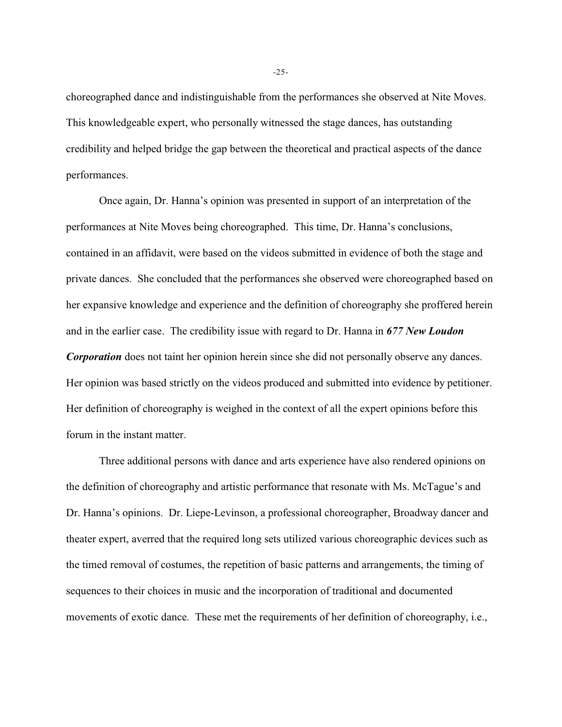choreographed dance and indistinguishable from the performances she observed at Nite Moves. This knowledgeable expert, who personally witnessed the stage dances, has outstanding credibility and helped bridge the gap between the theoretical and practical aspects of the dance performances.

Once again, Dr. Hanna's opinion was presented in support of an interpretation of the performances at Nite Moves being choreographed. This time, Dr. Hanna's conclusions, contained in an affidavit, were based on the videos submitted in evidence of both the stage and private dances. She concluded that the performances she observed were choreographed based on her expansive knowledge and experience and the definition of choreography she proffered herein and in the earlier case. The credibility issue with regard to Dr. Hanna in *677 New Loudon Corporation* does not taint her opinion herein since she did not personally observe any dances. Her opinion was based strictly on the videos produced and submitted into evidence by petitioner. Her definition of choreography is weighed in the context of all the expert opinions before this forum in the instant matter.

Three additional persons with dance and arts experience have also rendered opinions on the definition of choreography and artistic performance that resonate with Ms. McTague's and Dr. Hanna's opinions. Dr. Liepe-Levinson, a professional choreographer, Broadway dancer and theater expert, averred that the required long sets utilized various choreographic devices such as the timed removal of costumes, the repetition of basic patterns and arrangements, the timing of sequences to their choices in music and the incorporation of traditional and documented movements of exotic dance. These met the requirements of her definition of choreography, i.e.,

-25-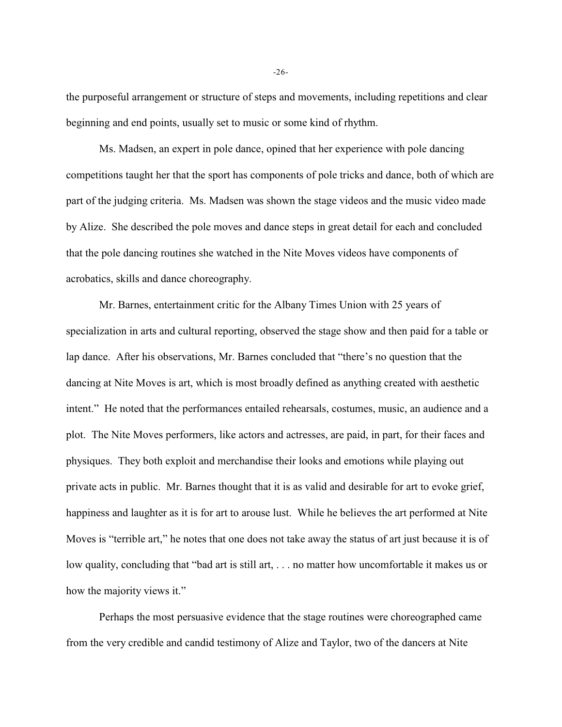the purposeful arrangement or structure of steps and movements, including repetitions and clear beginning and end points, usually set to music or some kind of rhythm.

Ms. Madsen, an expert in pole dance, opined that her experience with pole dancing competitions taught her that the sport has components of pole tricks and dance, both of which are part of the judging criteria. Ms. Madsen was shown the stage videos and the music video made by Alize. She described the pole moves and dance steps in great detail for each and concluded that the pole dancing routines she watched in the Nite Moves videos have components of acrobatics, skills and dance choreography.

Mr. Barnes, entertainment critic for the Albany Times Union with 25 years of specialization in arts and cultural reporting, observed the stage show and then paid for a table or lap dance. After his observations, Mr. Barnes concluded that "there's no question that the dancing at Nite Moves is art, which is most broadly defined as anything created with aesthetic intent." He noted that the performances entailed rehearsals, costumes, music, an audience and a plot. The Nite Moves performers, like actors and actresses, are paid, in part, for their faces and physiques. They both exploit and merchandise their looks and emotions while playing out private acts in public. Mr. Barnes thought that it is as valid and desirable for art to evoke grief, happiness and laughter as it is for art to arouse lust. While he believes the art performed at Nite Moves is "terrible art," he notes that one does not take away the status of art just because it is of low quality, concluding that "bad art is still art, . . . no matter how uncomfortable it makes us or how the majority views it."

Perhaps the most persuasive evidence that the stage routines were choreographed came from the very credible and candid testimony of Alize and Taylor, two of the dancers at Nite

-26-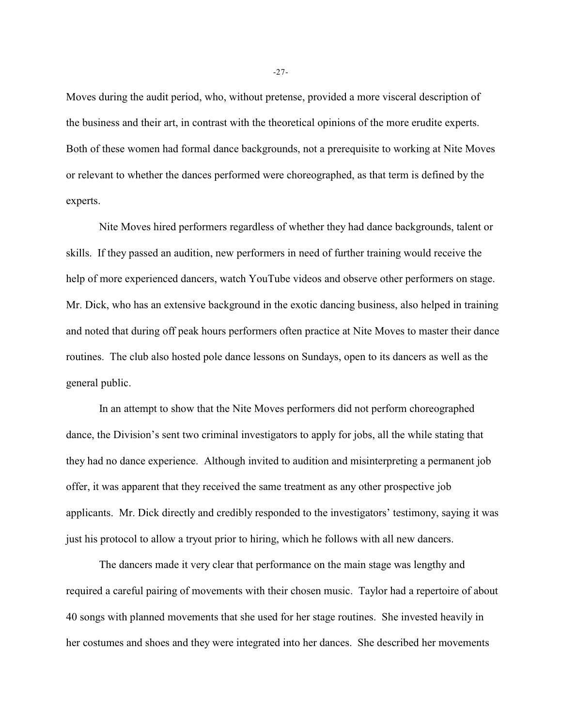Moves during the audit period, who, without pretense, provided a more visceral description of the business and their art, in contrast with the theoretical opinions of the more erudite experts. Both of these women had formal dance backgrounds, not a prerequisite to working at Nite Moves or relevant to whether the dances performed were choreographed, as that term is defined by the experts.

Nite Moves hired performers regardless of whether they had dance backgrounds, talent or skills. If they passed an audition, new performers in need of further training would receive the help of more experienced dancers, watch YouTube videos and observe other performers on stage. Mr. Dick, who has an extensive background in the exotic dancing business, also helped in training and noted that during off peak hours performers often practice at Nite Moves to master their dance routines. The club also hosted pole dance lessons on Sundays, open to its dancers as well as the general public.

In an attempt to show that the Nite Moves performers did not perform choreographed dance, the Division's sent two criminal investigators to apply for jobs, all the while stating that they had no dance experience. Although invited to audition and misinterpreting a permanent job offer, it was apparent that they received the same treatment as any other prospective job applicants. Mr. Dick directly and credibly responded to the investigators' testimony, saying it was just his protocol to allow a tryout prior to hiring, which he follows with all new dancers.

The dancers made it very clear that performance on the main stage was lengthy and required a careful pairing of movements with their chosen music. Taylor had a repertoire of about 40 songs with planned movements that she used for her stage routines. She invested heavily in her costumes and shoes and they were integrated into her dances. She described her movements

-27-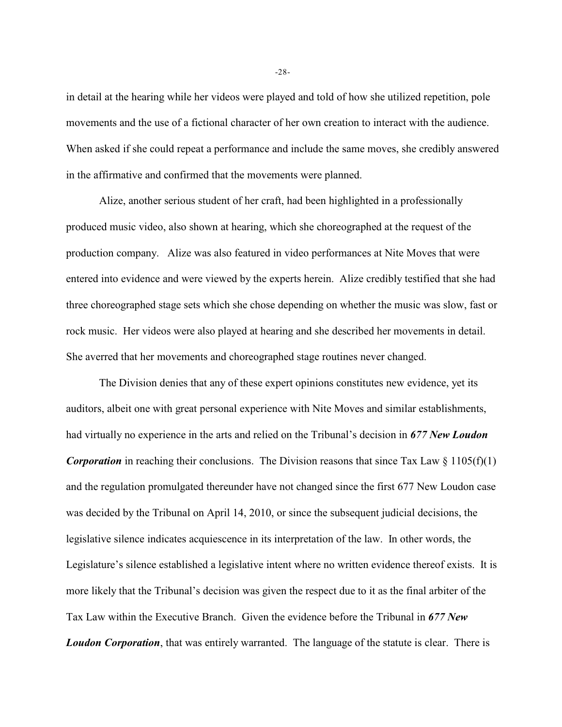in detail at the hearing while her videos were played and told of how she utilized repetition, pole movements and the use of a fictional character of her own creation to interact with the audience. When asked if she could repeat a performance and include the same moves, she credibly answered in the affirmative and confirmed that the movements were planned.

Alize, another serious student of her craft, had been highlighted in a professionally produced music video, also shown at hearing, which she choreographed at the request of the production company. Alize was also featured in video performances at Nite Moves that were entered into evidence and were viewed by the experts herein. Alize credibly testified that she had three choreographed stage sets which she chose depending on whether the music was slow, fast or rock music. Her videos were also played at hearing and she described her movements in detail. She averred that her movements and choreographed stage routines never changed.

The Division denies that any of these expert opinions constitutes new evidence, yet its auditors, albeit one with great personal experience with Nite Moves and similar establishments, had virtually no experience in the arts and relied on the Tribunal's decision in *677 New Loudon Corporation* in reaching their conclusions. The Division reasons that since Tax Law  $\S 1105(f)(1)$ and the regulation promulgated thereunder have not changed since the first 677 New Loudon case was decided by the Tribunal on April 14, 2010, or since the subsequent judicial decisions, the legislative silence indicates acquiescence in its interpretation of the law. In other words, the Legislature's silence established a legislative intent where no written evidence thereof exists. It is more likely that the Tribunal's decision was given the respect due to it as the final arbiter of the Tax Law within the Executive Branch. Given the evidence before the Tribunal in *677 New Loudon Corporation*, that was entirely warranted. The language of the statute is clear. There is

-28-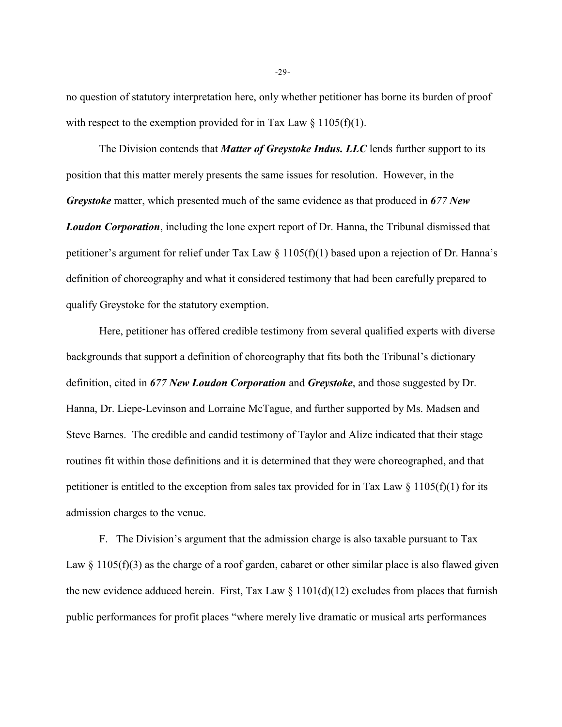no question of statutory interpretation here, only whether petitioner has borne its burden of proof with respect to the exemption provided for in Tax Law  $\S 1105(f)(1)$ .

The Division contends that *Matter of Greystoke Indus. LLC* lends further support to its position that this matter merely presents the same issues for resolution. However, in the *Greystoke* matter, which presented much of the same evidence as that produced in *677 New Loudon Corporation*, including the lone expert report of Dr. Hanna, the Tribunal dismissed that petitioner's argument for relief under Tax Law § 1105(f)(1) based upon a rejection of Dr. Hanna's definition of choreography and what it considered testimony that had been carefully prepared to qualify Greystoke for the statutory exemption.

Here, petitioner has offered credible testimony from several qualified experts with diverse backgrounds that support a definition of choreography that fits both the Tribunal's dictionary definition, cited in *677 New Loudon Corporation* and *Greystoke*, and those suggested by Dr. Hanna, Dr. Liepe-Levinson and Lorraine McTague, and further supported by Ms. Madsen and Steve Barnes. The credible and candid testimony of Taylor and Alize indicated that their stage routines fit within those definitions and it is determined that they were choreographed, and that petitioner is entitled to the exception from sales tax provided for in Tax Law  $\S 1105(f)(1)$  for its admission charges to the venue.

F. The Division's argument that the admission charge is also taxable pursuant to Tax Law  $\S 1105(f)(3)$  as the charge of a roof garden, cabaret or other similar place is also flawed given the new evidence adduced herein. First, Tax Law  $\S 1101(d)(12)$  excludes from places that furnish public performances for profit places "where merely live dramatic or musical arts performances

-29-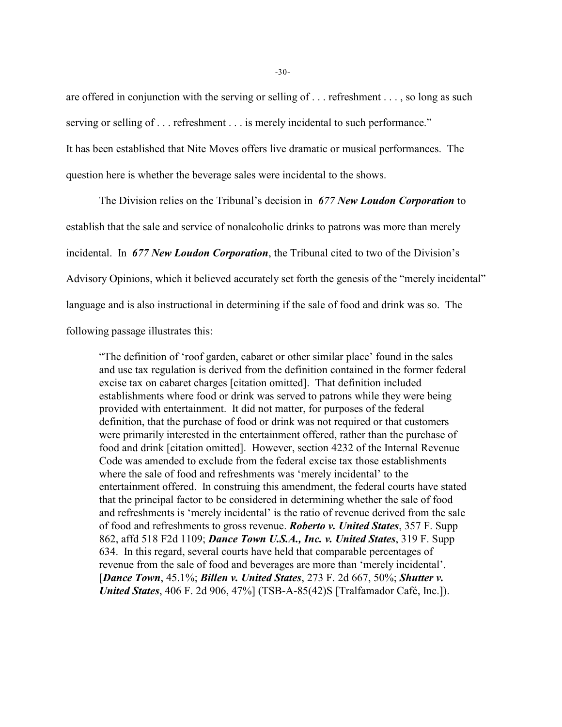are offered in conjunction with the serving or selling of . . . refreshment . . . , so long as such serving or selling of . . . refreshment . . . is merely incidental to such performance."

It has been established that Nite Moves offers live dramatic or musical performances. The

question here is whether the beverage sales were incidental to the shows.

The Division relies on the Tribunal's decision in *677 New Loudon Corporation* to establish that the sale and service of nonalcoholic drinks to patrons was more than merely incidental. In *677 New Loudon Corporation*, the Tribunal cited to two of the Division's Advisory Opinions, which it believed accurately set forth the genesis of the "merely incidental" language and is also instructional in determining if the sale of food and drink was so. The following passage illustrates this:

"The definition of 'roof garden, cabaret or other similar place' found in the sales and use tax regulation is derived from the definition contained in the former federal excise tax on cabaret charges [citation omitted]. That definition included establishments where food or drink was served to patrons while they were being provided with entertainment. It did not matter, for purposes of the federal definition, that the purchase of food or drink was not required or that customers were primarily interested in the entertainment offered, rather than the purchase of food and drink [citation omitted]. However, section 4232 of the Internal Revenue Code was amended to exclude from the federal excise tax those establishments where the sale of food and refreshments was 'merely incidental' to the entertainment offered. In construing this amendment, the federal courts have stated that the principal factor to be considered in determining whether the sale of food and refreshments is 'merely incidental' is the ratio of revenue derived from the sale of food and refreshments to gross revenue. *Roberto v. United States*, 357 F. Supp 862, affd 518 F2d 1109; *Dance Town U.S.A., Inc. v. United States*, 319 F. Supp 634. In this regard, several courts have held that comparable percentages of revenue from the sale of food and beverages are more than 'merely incidental'. [*Dance Town*, 45.1%; *Billen v. United States*, 273 F. 2d 667, 50%; *Shutter v. United States*, 406 F. 2d 906, 47%] (TSB-A-85(42)S [Tralfamador Café, Inc.]).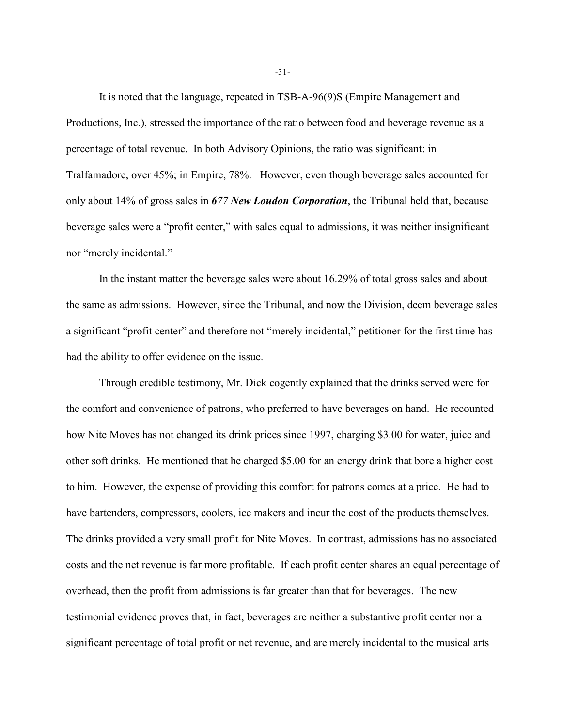It is noted that the language, repeated in TSB-A-96(9)S (Empire Management and Productions, Inc.), stressed the importance of the ratio between food and beverage revenue as a percentage of total revenue. In both Advisory Opinions, the ratio was significant: in Tralfamadore, over 45%; in Empire, 78%. However, even though beverage sales accounted for only about 14% of gross sales in *677 New Loudon Corporation*, the Tribunal held that, because beverage sales were a "profit center," with sales equal to admissions, it was neither insignificant nor "merely incidental."

In the instant matter the beverage sales were about 16.29% of total gross sales and about the same as admissions. However, since the Tribunal, and now the Division, deem beverage sales a significant "profit center" and therefore not "merely incidental," petitioner for the first time has had the ability to offer evidence on the issue.

Through credible testimony, Mr. Dick cogently explained that the drinks served were for the comfort and convenience of patrons, who preferred to have beverages on hand. He recounted how Nite Moves has not changed its drink prices since 1997, charging \$3.00 for water, juice and other soft drinks. He mentioned that he charged \$5.00 for an energy drink that bore a higher cost to him. However, the expense of providing this comfort for patrons comes at a price. He had to have bartenders, compressors, coolers, ice makers and incur the cost of the products themselves. The drinks provided a very small profit for Nite Moves. In contrast, admissions has no associated costs and the net revenue is far more profitable. If each profit center shares an equal percentage of overhead, then the profit from admissions is far greater than that for beverages. The new testimonial evidence proves that, in fact, beverages are neither a substantive profit center nor a significant percentage of total profit or net revenue, and are merely incidental to the musical arts

-31-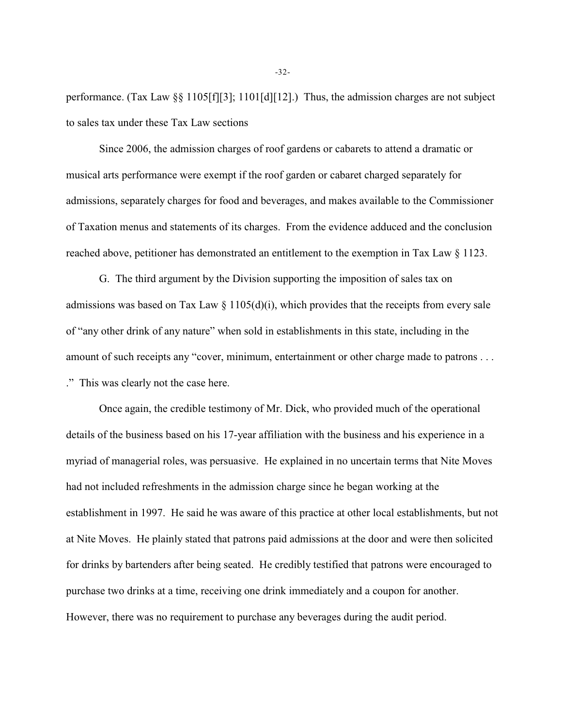performance. (Tax Law §§ 1105[f][3]; 1101[d][12].) Thus, the admission charges are not subject to sales tax under these Tax Law sections

Since 2006, the admission charges of roof gardens or cabarets to attend a dramatic or musical arts performance were exempt if the roof garden or cabaret charged separately for admissions, separately charges for food and beverages, and makes available to the Commissioner of Taxation menus and statements of its charges. From the evidence adduced and the conclusion reached above, petitioner has demonstrated an entitlement to the exemption in Tax Law § 1123.

G. The third argument by the Division supporting the imposition of sales tax on admissions was based on Tax Law  $\S$  1105(d)(i), which provides that the receipts from every sale of "any other drink of any nature" when sold in establishments in this state, including in the amount of such receipts any "cover, minimum, entertainment or other charge made to patrons . . . ." This was clearly not the case here.

Once again, the credible testimony of Mr. Dick, who provided much of the operational details of the business based on his 17-year affiliation with the business and his experience in a myriad of managerial roles, was persuasive. He explained in no uncertain terms that Nite Moves had not included refreshments in the admission charge since he began working at the establishment in 1997. He said he was aware of this practice at other local establishments, but not at Nite Moves. He plainly stated that patrons paid admissions at the door and were then solicited for drinks by bartenders after being seated. He credibly testified that patrons were encouraged to purchase two drinks at a time, receiving one drink immediately and a coupon for another. However, there was no requirement to purchase any beverages during the audit period.

-32-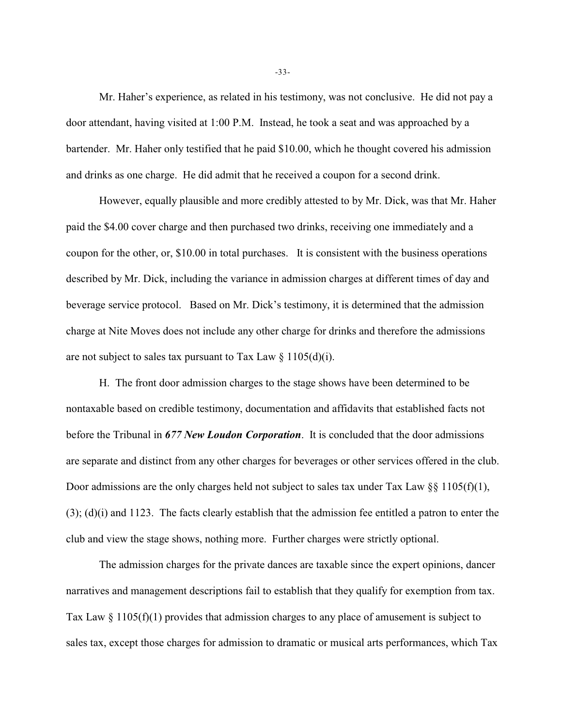Mr. Haher's experience, as related in his testimony, was not conclusive. He did not pay a door attendant, having visited at 1:00 P.M. Instead, he took a seat and was approached by a bartender. Mr. Haher only testified that he paid \$10.00, which he thought covered his admission and drinks as one charge. He did admit that he received a coupon for a second drink.

However, equally plausible and more credibly attested to by Mr. Dick, was that Mr. Haher paid the \$4.00 cover charge and then purchased two drinks, receiving one immediately and a coupon for the other, or, \$10.00 in total purchases. It is consistent with the business operations described by Mr. Dick, including the variance in admission charges at different times of day and beverage service protocol. Based on Mr. Dick's testimony, it is determined that the admission charge at Nite Moves does not include any other charge for drinks and therefore the admissions are not subject to sales tax pursuant to Tax Law  $\S 1105(d)(i)$ .

H. The front door admission charges to the stage shows have been determined to be nontaxable based on credible testimony, documentation and affidavits that established facts not before the Tribunal in *677 New Loudon Corporation*. It is concluded that the door admissions are separate and distinct from any other charges for beverages or other services offered in the club. Door admissions are the only charges held not subject to sales tax under Tax Law §§ 1105(f)(1), (3); (d)(i) and 1123. The facts clearly establish that the admission fee entitled a patron to enter the club and view the stage shows, nothing more. Further charges were strictly optional.

The admission charges for the private dances are taxable since the expert opinions, dancer narratives and management descriptions fail to establish that they qualify for exemption from tax. Tax Law § 1105(f)(1) provides that admission charges to any place of amusement is subject to sales tax, except those charges for admission to dramatic or musical arts performances, which Tax

-33-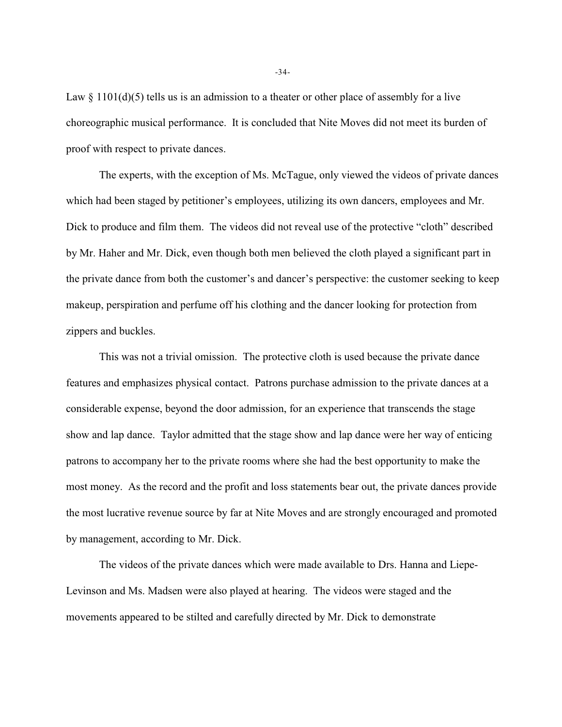Law  $\S$  1101(d)(5) tells us is an admission to a theater or other place of assembly for a live choreographic musical performance. It is concluded that Nite Moves did not meet its burden of proof with respect to private dances.

The experts, with the exception of Ms. McTague, only viewed the videos of private dances which had been staged by petitioner's employees, utilizing its own dancers, employees and Mr. Dick to produce and film them. The videos did not reveal use of the protective "cloth" described by Mr. Haher and Mr. Dick, even though both men believed the cloth played a significant part in the private dance from both the customer's and dancer's perspective: the customer seeking to keep makeup, perspiration and perfume off his clothing and the dancer looking for protection from zippers and buckles.

This was not a trivial omission. The protective cloth is used because the private dance features and emphasizes physical contact. Patrons purchase admission to the private dances at a considerable expense, beyond the door admission, for an experience that transcends the stage show and lap dance. Taylor admitted that the stage show and lap dance were her way of enticing patrons to accompany her to the private rooms where she had the best opportunity to make the most money. As the record and the profit and loss statements bear out, the private dances provide the most lucrative revenue source by far at Nite Moves and are strongly encouraged and promoted by management, according to Mr. Dick.

The videos of the private dances which were made available to Drs. Hanna and Liepe-Levinson and Ms. Madsen were also played at hearing. The videos were staged and the movements appeared to be stilted and carefully directed by Mr. Dick to demonstrate

-34-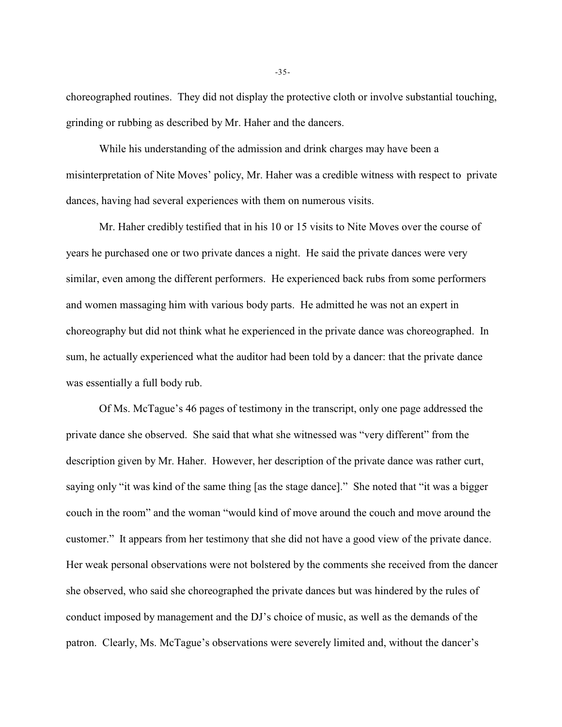choreographed routines. They did not display the protective cloth or involve substantial touching, grinding or rubbing as described by Mr. Haher and the dancers.

While his understanding of the admission and drink charges may have been a misinterpretation of Nite Moves' policy, Mr. Haher was a credible witness with respect to private dances, having had several experiences with them on numerous visits.

Mr. Haher credibly testified that in his 10 or 15 visits to Nite Moves over the course of years he purchased one or two private dances a night. He said the private dances were very similar, even among the different performers. He experienced back rubs from some performers and women massaging him with various body parts. He admitted he was not an expert in choreography but did not think what he experienced in the private dance was choreographed. In sum, he actually experienced what the auditor had been told by a dancer: that the private dance was essentially a full body rub.

Of Ms. McTague's 46 pages of testimony in the transcript, only one page addressed the private dance she observed. She said that what she witnessed was "very different" from the description given by Mr. Haher. However, her description of the private dance was rather curt, saying only "it was kind of the same thing [as the stage dance]." She noted that "it was a bigger couch in the room" and the woman "would kind of move around the couch and move around the customer." It appears from her testimony that she did not have a good view of the private dance. Her weak personal observations were not bolstered by the comments she received from the dancer she observed, who said she choreographed the private dances but was hindered by the rules of conduct imposed by management and the DJ's choice of music, as well as the demands of the patron. Clearly, Ms. McTague's observations were severely limited and, without the dancer's

-35-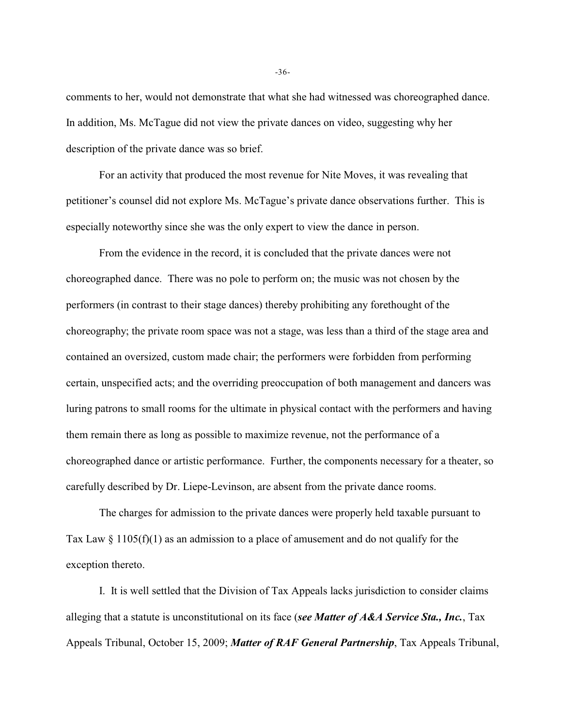comments to her, would not demonstrate that what she had witnessed was choreographed dance. In addition, Ms. McTague did not view the private dances on video, suggesting why her description of the private dance was so brief.

For an activity that produced the most revenue for Nite Moves, it was revealing that petitioner's counsel did not explore Ms. McTague's private dance observations further. This is especially noteworthy since she was the only expert to view the dance in person.

From the evidence in the record, it is concluded that the private dances were not choreographed dance. There was no pole to perform on; the music was not chosen by the performers (in contrast to their stage dances) thereby prohibiting any forethought of the choreography; the private room space was not a stage, was less than a third of the stage area and contained an oversized, custom made chair; the performers were forbidden from performing certain, unspecified acts; and the overriding preoccupation of both management and dancers was luring patrons to small rooms for the ultimate in physical contact with the performers and having them remain there as long as possible to maximize revenue, not the performance of a choreographed dance or artistic performance. Further, the components necessary for a theater, so carefully described by Dr. Liepe-Levinson, are absent from the private dance rooms.

The charges for admission to the private dances were properly held taxable pursuant to Tax Law  $\S 1105(f)(1)$  as an admission to a place of amusement and do not qualify for the exception thereto.

I. It is well settled that the Division of Tax Appeals lacks jurisdiction to consider claims alleging that a statute is unconstitutional on its face (*see Matter of A&A Service Sta., Inc.*, Tax Appeals Tribunal, October 15, 2009; *Matter of RAF General Partnership*, Tax Appeals Tribunal,

-36-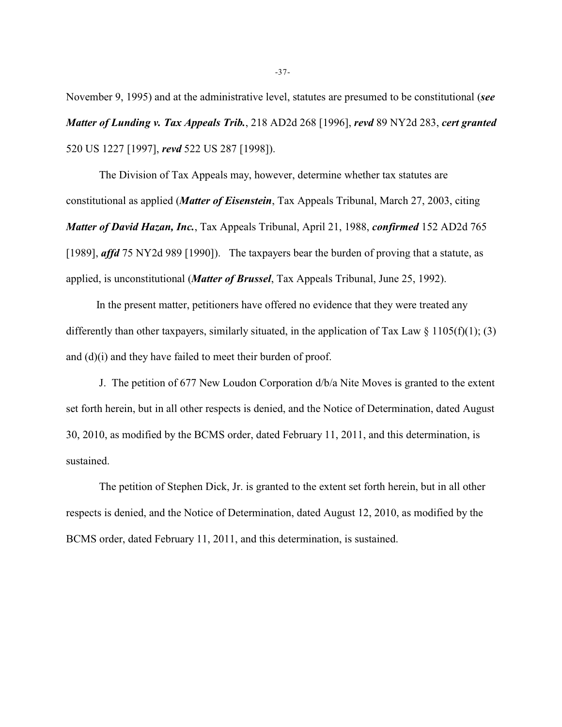November 9, 1995) and at the administrative level, statutes are presumed to be constitutional (*see Matter of Lunding v. Tax Appeals Trib.*, 218 AD2d 268 [1996], *revd* 89 NY2d 283, *cert granted* 520 US 1227 [1997], *revd* 522 US 287 [1998]).

The Division of Tax Appeals may, however, determine whether tax statutes are constitutional as applied (*Matter of Eisenstein*, Tax Appeals Tribunal, March 27, 2003, citing *Matter of David Hazan, Inc.*, Tax Appeals Tribunal, April 21, 1988, *confirmed* 152 AD2d 765 [1989], *affd* 75 NY2d 989 [1990]). The taxpayers bear the burden of proving that a statute, as applied, is unconstitutional (*Matter of Brussel*, Tax Appeals Tribunal, June 25, 1992).

 In the present matter, petitioners have offered no evidence that they were treated any differently than other taxpayers, similarly situated, in the application of Tax Law  $\S$  1105(f)(1); (3) and (d)(i) and they have failed to meet their burden of proof.

J. The petition of 677 New Loudon Corporation d/b/a Nite Moves is granted to the extent set forth herein, but in all other respects is denied, and the Notice of Determination, dated August 30, 2010, as modified by the BCMS order, dated February 11, 2011, and this determination, is sustained.

The petition of Stephen Dick, Jr. is granted to the extent set forth herein, but in all other respects is denied, and the Notice of Determination, dated August 12, 2010, as modified by the BCMS order, dated February 11, 2011, and this determination, is sustained.